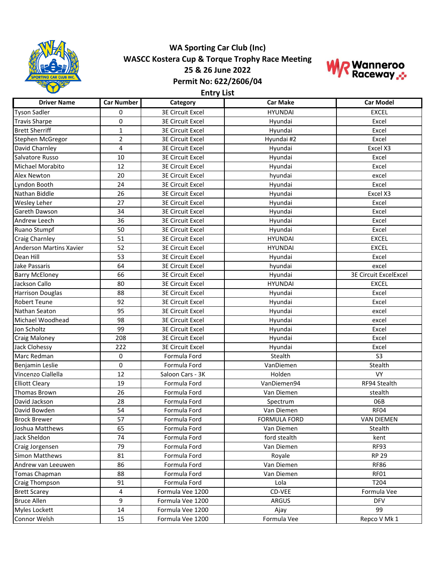

## **WA Sporting Car Club (Inc) WASCC Kostera Cup & Torque Trophy Race Meeting 25 & 26 June 2022 Permit No: 622/2606/04**



**Entry List**

| <b>Driver Name</b>             | <b>Car Number</b> | Category                | <b>Car Make</b>     | <b>Car Model</b>             |
|--------------------------------|-------------------|-------------------------|---------------------|------------------------------|
| <b>Tyson Sadler</b>            | $\Omega$          | <b>3E Circuit Excel</b> | <b>HYUNDAI</b>      | <b>EXCEL</b>                 |
| <b>Travis Sharpe</b>           | 0                 | <b>3E Circuit Excel</b> | Hyundai             | Excel                        |
| <b>Brett Sherriff</b>          | $\mathbf{1}$      | <b>3E Circuit Excel</b> | Hyundai             | Excel                        |
| Stephen McGregor               | $\overline{2}$    | <b>3E Circuit Excel</b> | Hyundai #2          | Excel                        |
| David Charnley                 | 4                 | <b>3E Circuit Excel</b> | Hyundai             | Excel X3                     |
| Salvatore Russo                | 10                | <b>3E Circuit Excel</b> | Hyundai             | Excel                        |
| Michael Morabito               | 12                | <b>3E Circuit Excel</b> | Hyundai             | Excel                        |
| Alex Newton                    | 20                | <b>3E Circuit Excel</b> | hyundai             | excel                        |
| Lyndon Booth                   | 24                | <b>3E Circuit Excel</b> | Hyundai             | Excel                        |
| Nathan Biddle                  | 26                | <b>3E Circuit Excel</b> | Hyundai             | Excel X3                     |
| Wesley Leher                   | 27                | <b>3E Circuit Excel</b> | Hyundai             | Excel                        |
| Gareth Dawson                  | 34                | <b>3E Circuit Excel</b> | Hyundai             | Excel                        |
| Andrew Leech                   | 36                | <b>3E Circuit Excel</b> | Hyundai             | Excel                        |
| Ruano Stumpf                   | 50                | <b>3E Circuit Excel</b> | Hyundai             | Excel                        |
| Craig Charnley                 | 51                | <b>3E Circuit Excel</b> | <b>HYUNDAI</b>      | <b>EXCEL</b>                 |
| <b>Anderson Martins Xavier</b> | 52                | <b>3E Circuit Excel</b> | <b>HYUNDAI</b>      | <b>EXCEL</b>                 |
| Dean Hill                      | 53                | <b>3E Circuit Excel</b> | Hyundai             | Excel                        |
| Jake Passaris                  | 64                | <b>3E Circuit Excel</b> | hyundai             | excel                        |
| <b>Barry McEloney</b>          | 66                | <b>3E Circuit Excel</b> | Hyundai             | <b>3E Circuit ExcelExcel</b> |
| Jackson Callo                  | 80                | <b>3E Circuit Excel</b> | <b>HYUNDAI</b>      | <b>EXCEL</b>                 |
| <b>Harrison Douglas</b>        | 88                | <b>3E Circuit Excel</b> | Hyundai             | Excel                        |
| <b>Robert Teune</b>            | 92                | <b>3E Circuit Excel</b> | Hyundai             | Excel                        |
| Nathan Seaton                  | 95                | <b>3E Circuit Excel</b> | Hyundai             | excel                        |
| Michael Woodhead               | 98                | <b>3E Circuit Excel</b> | Hyundai             | excel                        |
| Jon Scholtz                    | 99                | <b>3E Circuit Excel</b> | Hyundai             | Excel                        |
| <b>Craig Maloney</b>           | 208               | <b>3E Circuit Excel</b> | Hyundai             | Excel                        |
| Jack Clohessy                  | 222               | <b>3E Circuit Excel</b> | Hyundai             | Excel                        |
| Marc Redman                    | $\mathbf 0$       | Formula Ford            | Stealth             | S <sub>3</sub>               |
| Benjamin Leslie                | $\mathbf 0$       | Formula Ford            | VanDiemen           | Stealth                      |
| Vincenzo Ciallella             | 12                | Saloon Cars - 3K        | Holden              | <b>VY</b>                    |
| <b>Elliott Cleary</b>          | 19                | Formula Ford            | VanDiemen94         | RF94 Stealth                 |
| Thomas Brown                   | 26                | Formula Ford            | Van Diemen          | stealth                      |
| David Jackson                  | 28                | Formula Ford            | Spectrum            | 06B                          |
| David Bowden                   | 54                | Formula Ford            | Van Diemen          | RF04                         |
| <b>Brock Brewer</b>            | 57                | Formula Ford            | <b>FORMULA FORD</b> | <b>VAN DIEMEN</b>            |
| Joshua Matthews                | 65                | Formula Ford            | Van Diemen          | Stealth                      |
| Jack Sheldon                   | 74                | Formula Ford            | ford stealth        | kent                         |
| Craig Jorgensen                | 79                | Formula Ford            | Van Diemen          | RF93                         |
| Simon Matthews                 | 81                | Formula Ford            | Royale              | <b>RP 29</b>                 |
| Andrew van Leeuwen             | 86                | Formula Ford            | Van Diemen          | <b>RF86</b>                  |
| Tomas Chapman                  | 88                | Formula Ford            | Van Diemen          | RF01                         |
| Craig Thompson                 | 91                | Formula Ford            | Lola                | T204                         |
| <b>Brett Scarey</b>            | 4                 | Formula Vee 1200        | CD-VEE              | Formula Vee                  |
| <b>Bruce Allen</b>             | 9                 | Formula Vee 1200        | ARGUS               | <b>DFV</b>                   |
| Myles Lockett                  | 14                | Formula Vee 1200        | Ajay                | 99                           |
| Connor Welsh                   | 15                | Formula Vee 1200        | Formula Vee         | Repco V Mk 1                 |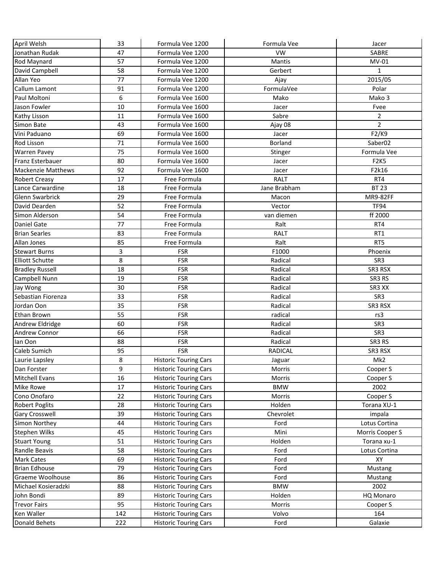| April Welsh               | 33  | Formula Vee 1200             | Formula Vee    | Jacer               |
|---------------------------|-----|------------------------------|----------------|---------------------|
| Jonathan Rudak            | 47  | Formula Vee 1200             | <b>VW</b>      | <b>SABRE</b>        |
| Rod Maynard               | 57  | Formula Vee 1200             | Mantis         | MV-01               |
| David Campbell            | 58  | Formula Vee 1200             | Gerbert        | $\mathbf{1}$        |
| Allan Yeo                 | 77  | Formula Vee 1200             | Ajay           | 2015/05             |
| Callum Lamont             | 91  | Formula Vee 1200             | FormulaVee     | Polar               |
| Paul Moltoni              | 6   | Formula Vee 1600             | Mako           | Mako 3              |
| Jason Fowler              | 10  | Formula Vee 1600             | Jacer          | Fvee                |
| Kathy Lisson              | 11  | Formula Vee 1600             | Sabre          | $\overline{2}$      |
| Simon Bate                | 43  | Formula Vee 1600             | Ajay 08        | $\overline{2}$      |
| Vini Paduano              | 69  | Formula Vee 1600             | Jacer          | F2/K9               |
| <b>Rod Lisson</b>         | 71  | Formula Vee 1600             | <b>Borland</b> | Saber <sub>02</sub> |
| <b>Warren Pavey</b>       | 75  | Formula Vee 1600             | Stinger        | Formula Vee         |
| Franz Esterbauer          | 80  | Formula Vee 1600             | Jacer          | <b>F2K5</b>         |
| <b>Mackenzie Matthews</b> | 92  | Formula Vee 1600             | Jacer          | F2k16               |
| <b>Robert Creasy</b>      | 17  | Free Formula                 | <b>RALT</b>    | RT4                 |
| Lance Carwardine          | 18  | Free Formula                 | Jane Brabham   | <b>BT 23</b>        |
| <b>Glenn Swarbrick</b>    | 29  | Free Formula                 | Macon          | MR9-82FF            |
| David Dearden             | 52  | Free Formula                 | Vector         | <b>TF94</b>         |
| Simon Alderson            | 54  | Free Formula                 | van diemen     | ff 2000             |
| Daniel Gate               | 77  | Free Formula                 | Ralt           | RT4                 |
| <b>Brian Searles</b>      | 83  | Free Formula                 | <b>RALT</b>    | RT <sub>1</sub>     |
| Allan Jones               | 85  | Free Formula                 | Ralt           | RT5                 |
| <b>Stewart Burns</b>      | 3   | <b>FSR</b>                   | F1000          | Phoenix             |
| <b>Elliott Schutte</b>    | 8   | <b>FSR</b>                   | Radical        | SR3                 |
| <b>Bradley Russell</b>    | 18  | <b>FSR</b>                   | Radical        | SR3 RSX             |
| Campbell Nunn             | 19  | <b>FSR</b>                   | Radical        | SR3 RS              |
| Jay Wong                  | 30  | <b>FSR</b>                   | Radical        | SR3 XX              |
| Sebastian Fiorenza        | 33  | <b>FSR</b>                   | Radical        | SR3                 |
| Jordan Oon                | 35  | <b>FSR</b>                   | Radical        | SR3 RSX             |
| <b>Ethan Brown</b>        | 55  | <b>FSR</b>                   | radical        | rs3                 |
| Andrew Eldridge           | 60  | <b>FSR</b>                   | Radical        | SR <sub>3</sub>     |
| Andrew Connor             | 66  | <b>FSR</b>                   | Radical        | SR3                 |
| lan Oon                   | 88  | <b>FSR</b>                   | Radical        | SR3 RS              |
| Caleb Sumich              | 95  | <b>FSR</b>                   | <b>RADICAL</b> | SR3 RSX             |
| Laurie Lapsley            | 8   | <b>Historic Touring Cars</b> | Jaguar         | Mk2                 |
| Dan Forster               | 9   | <b>Historic Touring Cars</b> | Morris         | Cooper S            |
| <b>Mitchell Evans</b>     | 16  | <b>Historic Touring Cars</b> | Morris         | Cooper S            |
| <b>Mike Rowe</b>          | 17  | <b>Historic Touring Cars</b> | <b>BMW</b>     | 2002                |
| Cono Onofaro              | 22  | <b>Historic Touring Cars</b> | Morris         | Cooper S            |
| <b>Robert Poglits</b>     | 28  | <b>Historic Touring Cars</b> | Holden         | Torana XU-1         |
| Gary Crosswell            | 39  | <b>Historic Touring Cars</b> | Chevrolet      | impala              |
| Simon Northey             | 44  | <b>Historic Touring Cars</b> | Ford           | Lotus Cortina       |
| <b>Stephen Wilks</b>      | 45  | <b>Historic Touring Cars</b> | Mini           | Morris Cooper S     |
| <b>Stuart Young</b>       | 51  | <b>Historic Touring Cars</b> | Holden         | Torana xu-1         |
| Randle Beavis             | 58  | <b>Historic Touring Cars</b> | Ford           | Lotus Cortina       |
| <b>Mark Cates</b>         | 69  | <b>Historic Touring Cars</b> | Ford           | XY                  |
| <b>Brian Edhouse</b>      | 79  | <b>Historic Touring Cars</b> | Ford           | Mustang             |
| Graeme Woolhouse          | 86  | <b>Historic Touring Cars</b> | Ford           | Mustang             |
| Michael Kosieradzki       | 88  | <b>Historic Touring Cars</b> | <b>BMW</b>     | 2002                |
| John Bondi                | 89  | <b>Historic Touring Cars</b> | Holden         | HQ Monaro           |
| <b>Trevor Fairs</b>       | 95  | <b>Historic Touring Cars</b> | Morris         | Cooper S            |
| Ken Waller                | 142 | <b>Historic Touring Cars</b> | Volvo          | 164                 |
| Donald Behets             | 222 | <b>Historic Touring Cars</b> | Ford           | Galaxie             |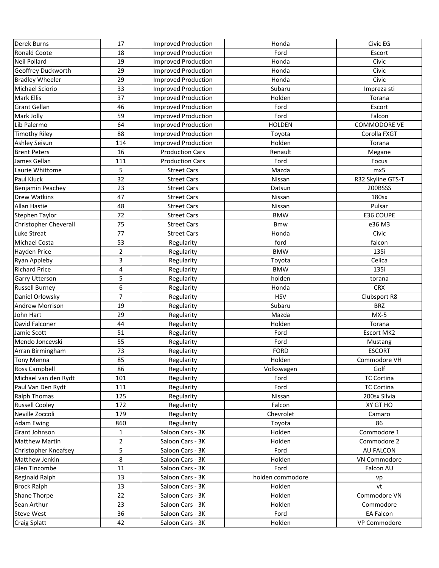| <b>Derek Burns</b>           | 17             | <b>Improved Production</b> | Honda            | Civic EG          |
|------------------------------|----------------|----------------------------|------------------|-------------------|
| <b>Ronald Coote</b>          | 18             | <b>Improved Production</b> | Ford             | Escort            |
| <b>Neil Pollard</b>          | 19             | <b>Improved Production</b> | Honda            | Civic             |
| Geoffrey Duckworth           | 29             | <b>Improved Production</b> | Honda            | Civic             |
| <b>Bradley Wheeler</b>       | 29             | <b>Improved Production</b> | Honda            | Civic             |
| <b>Michael Sciorio</b>       | 33             | <b>Improved Production</b> | Subaru           | Impreza sti       |
| <b>Mark Ellis</b>            | 37             | <b>Improved Production</b> | Holden           | Torana            |
| <b>Grant Gellan</b>          | 46             | <b>Improved Production</b> | Ford             | Escort            |
| Mark Jolly                   | 59             | <b>Improved Production</b> | Ford             | Falcon            |
| Lib Palermo                  | 64             | <b>Improved Production</b> | <b>HOLDEN</b>    | COMMODORE VE      |
| <b>Timothy Riley</b>         | 88             | <b>Improved Production</b> | Toyota           | Corolla FXGT      |
| <b>Ashley Seisun</b>         | 114            | <b>Improved Production</b> | Holden           | Torana            |
| <b>Brent Peters</b>          | 16             | <b>Production Cars</b>     | Renault          | Megane            |
| James Gellan                 | 111            | <b>Production Cars</b>     | Ford             | Focus             |
| Laurie Whittome              | 5              | <b>Street Cars</b>         | Mazda            | mx5               |
| Paul Kluck                   | 32             | <b>Street Cars</b>         | Nissan           | R32 Skyline GTS-T |
| Benjamin Peachey             | 23             | <b>Street Cars</b>         | Datsun           | 200BSSS           |
| <b>Drew Watkins</b>          | 47             | <b>Street Cars</b>         | Nissan           | 180sx             |
| <b>Allan Hastie</b>          | 48             | <b>Street Cars</b>         | Nissan           | Pulsar            |
| <b>Stephen Taylor</b>        | 72             | <b>Street Cars</b>         | <b>BMW</b>       | E36 COUPE         |
| <b>Christopher Cheverall</b> | 75             | <b>Street Cars</b>         | <b>Bmw</b>       | e36 M3            |
| Luke Streat                  | 77             | <b>Street Cars</b>         | Honda            | Civic             |
| Michael Costa                | 53             | Regularity                 | ford             | falcon            |
| Hayden Price                 | 2              | Regularity                 | <b>BMW</b>       | 135i              |
| Ryan Appleby                 | 3              | Regularity                 | Toyota           | Celica            |
| <b>Richard Price</b>         | 4              | Regularity                 | <b>BMW</b>       | 135i              |
| <b>Garry Utterson</b>        | 5              | Regularity                 | holden           | torana            |
| <b>Russell Burney</b>        | 6              | Regularity                 | Honda            | <b>CRX</b>        |
| Daniel Orlowsky              | 7              | Regularity                 | <b>HSV</b>       | Clubsport R8      |
| <b>Andrew Morrison</b>       | 19             | Regularity                 | Subaru           | <b>BRZ</b>        |
| John Hart                    | 29             | Regularity                 | Mazda            | $MX-5$            |
| David Falconer               | 44             | Regularity                 | Holden           | Torana            |
| Jamie Scott                  | 51             | Regularity                 | Ford             | Escort MK2        |
| Mendo Joncevski              | 55             | Regularity                 | Ford             | Mustang           |
| Arran Birmingham             | 73             | Regularity                 | <b>FORD</b>      | <b>ESCORT</b>     |
| Tony Menna                   | 85             | Regularity                 | Holden           | Commodore VH      |
| Ross Campbell                | 86             | Regularity                 | Volkswagen       | Golf              |
| Michael van den Rydt         | 101            | Regularity                 | Ford             | <b>TC Cortina</b> |
| Paul Van Den Rydt            | 111            | Regularity                 | Ford             | <b>TC Cortina</b> |
| <b>Ralph Thomas</b>          | 125            | Regularity                 | Nissan           | 200sx Silvia      |
| <b>Russell Cooley</b>        | 172            | Regularity                 | Falcon           | XY GT HO          |
| Neville Zoccoli              | 179            | Regularity                 | Chevrolet        | Camaro            |
| <b>Adam Ewing</b>            | 860            | Regularity                 | Toyota           | 86                |
| Grant Johnson                | $\mathbf{1}$   | Saloon Cars - 3K           | Holden           | Commodore 1       |
| <b>Matthew Martin</b>        | $\overline{2}$ | Saloon Cars - 3K           | Holden           | Commodore 2       |
| <b>Christopher Kneafsey</b>  | 5              | Saloon Cars - 3K           | Ford             | <b>AU FALCON</b>  |
| Matthew Jenkin               | 8              | Saloon Cars - 3K           | Holden           | VN Commodore      |
| Glen Tincombe                | 11             | Saloon Cars - 3K           | Ford             | Falcon AU         |
| Reginald Ralph               | 13             | Saloon Cars - 3K           | holden commodore | vp                |
| <b>Brock Ralph</b>           | 13             | Saloon Cars - 3K           | Holden           | vt                |
| Shane Thorpe                 | 22             | Saloon Cars - 3K           | Holden           | Commodore VN      |
| Sean Arthur                  | 23             | Saloon Cars - 3K           | Holden           | Commodore         |
| <b>Steve West</b>            | 36             | Saloon Cars - 3K           | Ford             | <b>EA Falcon</b>  |
| <b>Craig Splatt</b>          | 42             | Saloon Cars - 3K           | Holden           | VP Commodore      |